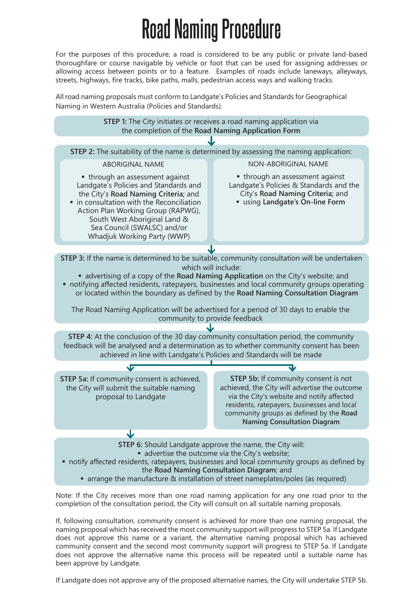## **Road Naming Procedure**

For the purposes of this procedure, a road is considered to be any public or private land-based thoroughfare or course navigable by vehicle or foot that can be used for assigning addresses or allowing access between points or to a feature. Examples of roads include laneways, alleyways, streets, highways, fire tracks, bike paths, malls, pedestrian access ways and walking tracks.

All road naming proposals must conform to Landgate's Policies and Standards for Geographical Naming in Western Australia (Policies and Standards).



Note: If the City receives more than one road naming application for any one road prior to the completion of the consultation period, the City will consult on all suitable naming proposals.

If, following consultation, community consent is achieved for more than one naming proposal, the naming proposal which has received the most community support will progress to STEP 5a. If Landgate does not approve this name or a variant, the alternative naming proposal which has achieved community consent and the second most community support will progress to STEP 5a. If Landgate does not approve the alternative name this process will be repeated until a suitable name has been approve by Landgate.

If Landgate does not approve any of the proposed alternative names, the City will undertake STEP 5b.